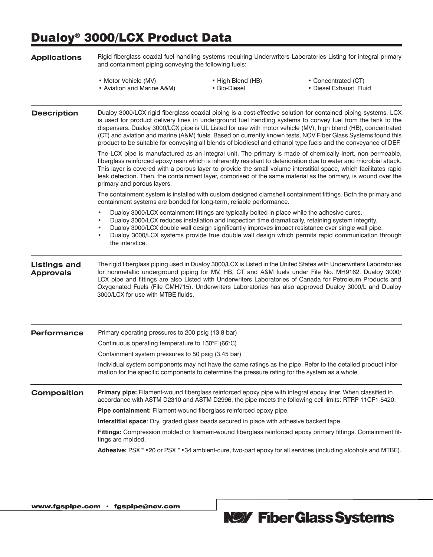## Dualoy® 3000/LCX Product Data

| <b>Applications</b>                     | Rigid fiberglass coaxial fuel handling systems requiring Underwriters Laboratories Listing for integral primary<br>and containment piping conveying the following fuels:                                                                                                                                                                                                                                                                                                                                                                                                        |                                                                                         |                                                                                                              |  |  |  |  |  |
|-----------------------------------------|---------------------------------------------------------------------------------------------------------------------------------------------------------------------------------------------------------------------------------------------------------------------------------------------------------------------------------------------------------------------------------------------------------------------------------------------------------------------------------------------------------------------------------------------------------------------------------|-----------------------------------------------------------------------------------------|--------------------------------------------------------------------------------------------------------------|--|--|--|--|--|
|                                         | • Motor Vehicle (MV)<br>• Aviation and Marine A&M)                                                                                                                                                                                                                                                                                                                                                                                                                                                                                                                              | • High Blend (HB)<br>• Bio-Diesel                                                       | • Concentrated (CT)<br>· Diesel Exhaust Fluid                                                                |  |  |  |  |  |
| <b>Description</b>                      | Dualoy 3000/LCX rigid fiberglass coaxial piping is a cost-effective solution for contained piping systems. LCX<br>is used for product delivery lines in underground fuel handling systems to convey fuel from the tank to the<br>dispensers. Dualoy 3000/LCX pipe is UL Listed for use with motor vehicle (MV), high blend (HB), concentrated<br>(CT) and aviation and marine (A&M) fuels. Based on currently known tests, NOV Fiber Glass Systems found this<br>product to be suitable for conveying all blends of biodiesel and ethanol type fuels and the conveyance of DEF. |                                                                                         |                                                                                                              |  |  |  |  |  |
|                                         | The LCX pipe is manufactured as an integral unit. The primary is made of chemically inert, non-permeable,<br>fiberglass reinforced epoxy resin which is inherently resistant to deterioration due to water and microbial attack.<br>This layer is covered with a porous layer to provide the small volume interstitial space, which facilitates rapid<br>leak detection. Then, the containment layer, comprised of the same material as the primary, is wound over the<br>primary and porous layers.                                                                            |                                                                                         |                                                                                                              |  |  |  |  |  |
|                                         | The containment system is installed with custom designed clamshell containment fittings. Both the primary and<br>containment systems are bonded for long-term, reliable performance.                                                                                                                                                                                                                                                                                                                                                                                            |                                                                                         |                                                                                                              |  |  |  |  |  |
|                                         | Dualoy 3000/LCX containment fittings are typically bolted in place while the adhesive cures.<br>٠<br>Dualoy 3000/LCX reduces installation and inspection time dramatically, retaining system integrity.<br>٠<br>Dualoy 3000/LCX double wall design significantly improves impact resistance over single wall pipe.<br>Dualoy 3000/LCX systems provide true double wall design which permits rapid communication through<br>the interstice.                                                                                                                                      |                                                                                         |                                                                                                              |  |  |  |  |  |
| <b>Listings and</b><br><b>Approvals</b> | The rigid fiberglass piping used in Dualoy 3000/LCX is Listed in the United States with Underwriters Laboratories<br>for nonmetallic underground piping for MV, HB, CT and A&M fuels under File No. MH9162. Dualoy 3000/<br>LCX pipe and fittings are also Listed with Underwriters Laboratories of Canada for Petroleum Products and<br>Oxygenated Fuels (File CMH715). Underwriters Laboratories has also approved Dualoy 3000/L and Dualoy<br>3000/LCX for use with MTBE fluids.                                                                                             |                                                                                         |                                                                                                              |  |  |  |  |  |
| <b>Performance</b>                      | Primary operating pressures to 200 psig (13.8 bar)                                                                                                                                                                                                                                                                                                                                                                                                                                                                                                                              |                                                                                         |                                                                                                              |  |  |  |  |  |
|                                         | Continuous operating temperature to 150°F (66°C)                                                                                                                                                                                                                                                                                                                                                                                                                                                                                                                                |                                                                                         |                                                                                                              |  |  |  |  |  |
|                                         | Containment system pressures to 50 psig (3.45 bar)                                                                                                                                                                                                                                                                                                                                                                                                                                                                                                                              |                                                                                         |                                                                                                              |  |  |  |  |  |
|                                         | mation for the specific components to determine the pressure rating for the system as a whole.                                                                                                                                                                                                                                                                                                                                                                                                                                                                                  |                                                                                         | Individual system components may not have the same ratings as the pipe. Refer to the detailed product infor- |  |  |  |  |  |
| <b>Composition</b>                      | Primary pipe: Filament-wound fiberglass reinforced epoxy pipe with integral epoxy liner. When classified in<br>accordance with ASTM D2310 and ASTM D2996, the pipe meets the following cell limits: RTRP 11CF1-5420.                                                                                                                                                                                                                                                                                                                                                            |                                                                                         |                                                                                                              |  |  |  |  |  |
|                                         | Pipe containment: Filament-wound fiberglass reinforced epoxy pipe.                                                                                                                                                                                                                                                                                                                                                                                                                                                                                                              |                                                                                         |                                                                                                              |  |  |  |  |  |
|                                         |                                                                                                                                                                                                                                                                                                                                                                                                                                                                                                                                                                                 | Interstitial space: Dry, graded glass beads secured in place with adhesive backed tape. |                                                                                                              |  |  |  |  |  |
|                                         | Fittings: Compression molded or filament-wound fiberglass reinforced epoxy primary fittings. Containment fit-<br>tings are molded.                                                                                                                                                                                                                                                                                                                                                                                                                                              |                                                                                         |                                                                                                              |  |  |  |  |  |
|                                         | Adhesive: PSX <sup>™</sup> • 20 or PSX <sup>™</sup> • 34 ambient-cure, two-part epoxy for all services (including alcohols and MTBE).                                                                                                                                                                                                                                                                                                                                                                                                                                           |                                                                                         |                                                                                                              |  |  |  |  |  |
|                                         |                                                                                                                                                                                                                                                                                                                                                                                                                                                                                                                                                                                 |                                                                                         |                                                                                                              |  |  |  |  |  |

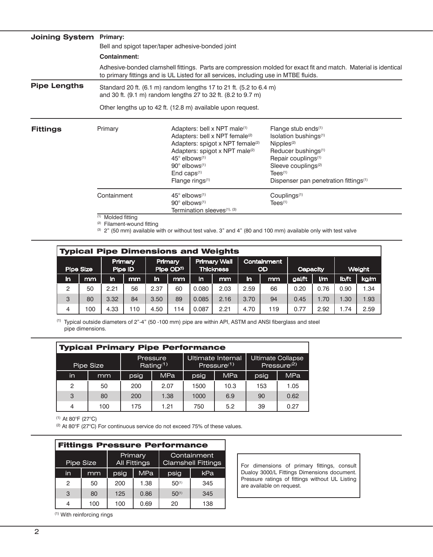| <b>Joining System Primary:</b> |                                                                                                                                                                                                         |                                                                                                                                                                                                                                                                                                                            |                                                                                                                                                                                                                                                                                              |  |  |  |  |
|--------------------------------|---------------------------------------------------------------------------------------------------------------------------------------------------------------------------------------------------------|----------------------------------------------------------------------------------------------------------------------------------------------------------------------------------------------------------------------------------------------------------------------------------------------------------------------------|----------------------------------------------------------------------------------------------------------------------------------------------------------------------------------------------------------------------------------------------------------------------------------------------|--|--|--|--|
|                                | Bell and spigot taper/taper adhesive-bonded joint                                                                                                                                                       |                                                                                                                                                                                                                                                                                                                            |                                                                                                                                                                                                                                                                                              |  |  |  |  |
|                                | Containment:                                                                                                                                                                                            |                                                                                                                                                                                                                                                                                                                            |                                                                                                                                                                                                                                                                                              |  |  |  |  |
|                                | Adhesive-bonded clamshell fittings. Parts are compression molded for exact fit and match. Material is identical<br>to primary fittings and is UL Listed for all services, including use in MTBE fluids. |                                                                                                                                                                                                                                                                                                                            |                                                                                                                                                                                                                                                                                              |  |  |  |  |
| <b>Pipe Lengths</b>            | Standard 20 ft. (6.1 m) random lengths 17 to 21 ft. (5.2 to 6.4 m)<br>and 30 ft. (9.1 m) random lengths 27 to 32 ft. (8.2 to 9.7 m)                                                                     |                                                                                                                                                                                                                                                                                                                            |                                                                                                                                                                                                                                                                                              |  |  |  |  |
|                                | Other lengths up to 42 ft. (12.8 m) available upon request.                                                                                                                                             |                                                                                                                                                                                                                                                                                                                            |                                                                                                                                                                                                                                                                                              |  |  |  |  |
| <b>Fittings</b>                | Primary                                                                                                                                                                                                 | Adapters: bell x NPT male <sup>(1)</sup><br>Adapters: bell x NPT female <sup>(2)</sup><br>Adapters: spigot x NPT female <sup>(2)</sup><br>Adapters: spigot x NPT male <sup>(2)</sup><br>$45^\circ$ elbows <sup>(1)</sup><br>$90^\circ$ elbows <sup><math>(1)</math></sup><br>End caps $(1)$<br>Flange rings <sup>(1)</sup> | Flange stub ends <sup>(1)</sup><br>Isolation bushings <sup>(1)</sup><br>$N$ ipples $(2)$<br>Reducer bushings <sup>(1)</sup><br>Repair couplings <sup>(1)</sup><br>Sleeve couplings <sup>(2)</sup><br>$Tees$ <sup><math>(1)</math></sup><br>Dispenser pan penetration fittings <sup>(1)</sup> |  |  |  |  |
|                                | Containment                                                                                                                                                                                             | $45^{\circ}$ elbows <sup>(1)</sup><br>$90^\circ$ elbows $(1)$<br>Termination sleeves <sup>(1), (3)</sup>                                                                                                                                                                                                                   | Couplings <sup>(1)</sup><br>$\text{Tees}^{(1)}$                                                                                                                                                                                                                                              |  |  |  |  |
|                                | (1) Molded fitting                                                                                                                                                                                      |                                                                                                                                                                                                                                                                                                                            |                                                                                                                                                                                                                                                                                              |  |  |  |  |

<sup>(2)</sup> Filament-wound fitting

 $(3)$  2" (50 mm) available with or without test valve. 3" and 4" (80 and 100 mm) available only with test valve

| <b>Typical Pipe Dimensions and Weights</b> |     |      |                                          |                                         |     |                          |      |          |     |        |      |       |      |
|--------------------------------------------|-----|------|------------------------------------------|-----------------------------------------|-----|--------------------------|------|----------|-----|--------|------|-------|------|
| Primary<br>Pipe Size<br>Pipe ID            |     |      | <b>Primary</b><br>Pipe OD <sup>(1)</sup> | <b>Primary Wall</b><br><b>Thickness</b> |     | Containment<br><b>OD</b> |      | Capacity |     | Weight |      |       |      |
| in                                         | mm  | in   | mm                                       | in                                      | mm  | in.                      | mm   | in       | mm  | gal/ft | Im   | lb/ft | kg/m |
| 2                                          | 50  | 2.21 | 56                                       | 2.37                                    | 60  | 0.080                    | 2.03 | 2.59     | 66  | 0.20   | 0.76 | 0.90  | .34  |
| 3                                          | 80  | 3.32 | 84                                       | 3.50                                    | 89  | 0.085                    | 2.16 | 3.70     | 94  | 0.45   | 1.70 | 1.30  | 1.93 |
| 4                                          | 100 | 4.33 | 110                                      | 4.50                                    | 114 | 0.087                    | 2.21 | 4.70     | 119 | 0.77   | 2.92 | 1.74  | 2.59 |

(1) Typical outside diameters of 2"-4" (50 -100 mm) pipe are within API, ASTM and ANSI fiberglass and steel pipe dimensions.

| <b>Typical Primary Pipe Performance</b> |     |      |                          |                                              |            |                                                     |            |  |
|-----------------------------------------|-----|------|--------------------------|----------------------------------------------|------------|-----------------------------------------------------|------------|--|
| Pipe Size                               |     |      | Pressure<br>Rating $(1)$ | Ultimate Internal<br>Pressure <sup>(1)</sup> |            | <b>Ultimate Collapse</b><br>Pressure <sup>(2)</sup> |            |  |
| in                                      | mm  | psig | <b>MPa</b>               | psig                                         | <b>MPa</b> | psig                                                | <b>MPa</b> |  |
| 2                                       | 50  | 200  | 2.07                     | 1500                                         | 10.3       | 153                                                 | 1.05       |  |
| 3                                       | 80  | 200  | 1.38                     | 1000                                         | 6.9        | 90                                                  | 0.62       |  |
|                                         | 100 | 175  | 1.21                     | 750                                          | 5.2        | 39                                                  | 0.27       |  |

(1) At 80°F (27°C)

(2) At 80°F (27°C) For continuous service do not exceed 75% of these values.

| <b>Fittings Pressure Performance</b> |           |                                |            |                                          |     |  |  |  |  |
|--------------------------------------|-----------|--------------------------------|------------|------------------------------------------|-----|--|--|--|--|
|                                      | Pipe Size | Primary<br><b>All Fittings</b> |            | Containment<br><b>Clamshell Fittings</b> |     |  |  |  |  |
| in                                   | mm        | psig                           | <b>MPa</b> | psig                                     | kPa |  |  |  |  |
| 2                                    | 50        | 200                            | 1.38       | $50^{(1)}$                               | 345 |  |  |  |  |
| 3                                    | 80        | 125                            | 0.86       | $50^{(1)}$                               | 345 |  |  |  |  |
| 4                                    | 100       | 100                            | 0.69       | 20                                       | 138 |  |  |  |  |

For dimensions of primary fittings, consult Dualoy 3000/L Fittings Dimensions document. Pressure ratings of fittings without UL Listing are available on request.

(1) With reinforcing rings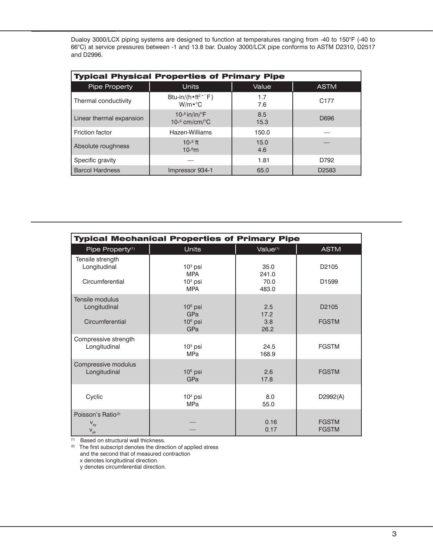Dualoy 3000/LCX piping systems are designed to function at temperatures ranging from -40 to 150°F (-40 to 66°C) at service pressures between -1 and 13.8 bar. Dualoy 3000/LCX pipe conforms to ASTM D2310, D2517 and D2996.

| <b>Typical Physical Properties of Primary Pipe</b> |                                                                               |             |                   |  |  |  |  |  |  |
|----------------------------------------------------|-------------------------------------------------------------------------------|-------------|-------------------|--|--|--|--|--|--|
| <b>Pipe Property</b>                               | <b>Units</b>                                                                  | Value       | <b>ASTM</b>       |  |  |  |  |  |  |
| Thermal conductivity                               | Btu-in/(h $\cdot$ ft <sup>2</sup> $\cdot$ $\cdot$ F)<br>$W/m \cdot ^{\circ}C$ | 1.7<br>7.6  | C <sub>177</sub>  |  |  |  |  |  |  |
| Linear thermal expansion                           | 10- $^6$ in/in/ $^{\circ}$ F<br>$10^{-6}$ cm/cm/ $^{\circ}$ C                 | 8.5<br>15.3 | D696              |  |  |  |  |  |  |
| <b>Friction factor</b>                             | Hazen-Williams                                                                | 150.0       |                   |  |  |  |  |  |  |
| Absolute roughness                                 | $10^{-6}$ ft<br>10 <sup>6</sup> m                                             | 15.0<br>4.6 |                   |  |  |  |  |  |  |
| Specific gravity                                   |                                                                               | 1.81        | D792              |  |  |  |  |  |  |
| <b>Barcol Hardness</b>                             | Impressor 934-1                                                               | 65.0        | D <sub>2583</sub> |  |  |  |  |  |  |

| <b>Typical Mechanical Properties of Primary Pipe</b>                                                |                               |                      |                                   |  |  |  |  |  |
|-----------------------------------------------------------------------------------------------------|-------------------------------|----------------------|-----------------------------------|--|--|--|--|--|
| Pipe Property <sup>(1)</sup>                                                                        | <b>Units</b>                  | Value <sup>(1)</sup> | <b>ASTM</b>                       |  |  |  |  |  |
| Tensile strength<br>Longitudinal                                                                    | $103$ psi<br><b>MPA</b>       | 35.0<br>241.0        | D <sub>2105</sub>                 |  |  |  |  |  |
| Circumferential                                                                                     | $103$ psi<br><b>MPA</b>       | 70.0<br>483.0        | D <sub>1599</sub>                 |  |  |  |  |  |
| Tensile modulus<br>Longitudinal<br>Circumferential                                                  | $106$ psi<br>GPa<br>$106$ psi | 2.5<br>17.2<br>3.8   | D <sub>2105</sub><br><b>FGSTM</b> |  |  |  |  |  |
| Compressive strength                                                                                | GPa                           | 26.2                 |                                   |  |  |  |  |  |
| Longitudinal                                                                                        | $103$ psi<br><b>MPa</b>       | 24.5<br>168.9        | <b>FGSTM</b>                      |  |  |  |  |  |
| Compressive modulus<br>Longitudinal                                                                 | $106$ psi<br><b>GPa</b>       | 2.6<br>17.8          | <b>FGSTM</b>                      |  |  |  |  |  |
| Cyclic                                                                                              | $103$ psi<br><b>MPa</b>       | 8.0<br>55.0          | D2992(A)                          |  |  |  |  |  |
| Poisson's Ratio <sup>(2)</sup><br>$\mathbf{V}_{\mathbf{xy}}$<br>$\mathbf{V}_{\mathbf{y}\mathbf{x}}$ |                               | 0.16<br>0.17         | <b>FGSTM</b><br><b>FGSTM</b>      |  |  |  |  |  |

(1) Based on structural wall thickness.

(2) The first subscript denotes the direction of applied stress and the second that of measured contraction x denotes longitudinal direction.

y denotes circumferential direction.